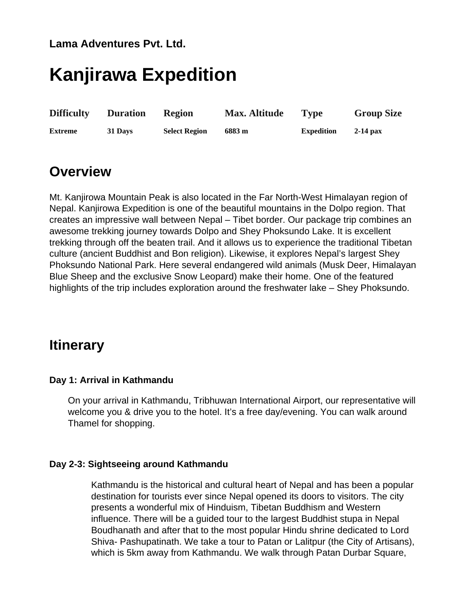### **Lama Adventures Pvt. Ltd.**

# **Kanjirawa Expedition**

| <b>Difficulty</b> | <b>Duration</b> | <b>Region</b>        | <b>Max. Altitude</b> | <b>Type</b>       | <b>Group Size</b> |
|-------------------|-----------------|----------------------|----------------------|-------------------|-------------------|
| <b>Extreme</b>    | 31 Days         | <b>Select Region</b> | 6883 m               | <b>Expedition</b> | $2-14$ pax        |

## **Overview**

Mt. Kanjirowa Mountain Peak is also located in the Far North-West Himalayan region of Nepal. Kanjirowa Expedition is one of the beautiful mountains in the Dolpo region. That creates an impressive wall between Nepal – Tibet border. Our package trip combines an awesome trekking journey towards Dolpo and Shey Phoksundo Lake. It is excellent trekking through off the beaten trail. And it allows us to experience the traditional Tibetan culture (ancient Buddhist and Bon religion). Likewise, it explores Nepal's largest Shey Phoksundo National Park. Here several endangered wild animals (Musk Deer, Himalayan Blue Sheep and the exclusive Snow Leopard) make their home. One of the featured highlights of the trip includes exploration around the freshwater lake – Shey Phoksundo.

## **Itinerary**

#### **Day 1: Arrival in Kathmandu**

On your arrival in Kathmandu, Tribhuwan International Airport, our representative will welcome you & drive you to the hotel. It's a free day/evening. You can walk around Thamel for shopping.

#### **Day 2-3: Sightseeing around Kathmandu**

Kathmandu is the historical and cultural heart of Nepal and has been a popular destination for tourists ever since Nepal opened its doors to visitors. The city presents a wonderful mix of Hinduism, Tibetan Buddhism and Western influence. There will be a guided tour to the largest Buddhist stupa in Nepal Boudhanath and after that to the most popular Hindu shrine dedicated to Lord Shiva- Pashupatinath. We take a tour to Patan or Lalitpur (the City of Artisans), which is 5km away from Kathmandu. We walk through Patan Durbar Square,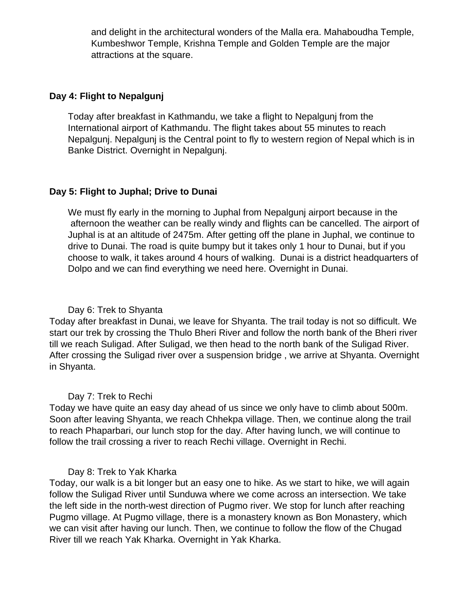and delight in the architectural wonders of the Malla era. Mahaboudha Temple, Kumbeshwor Temple, Krishna Temple and Golden Temple are the major attractions at the square.

#### **Day 4: Flight to Nepalgunj**

Today after breakfast in Kathmandu, we take a flight to Nepalgunj from the International airport of Kathmandu. The flight takes about 55 minutes to reach Nepalgunj. Nepalgunj is the Central point to fly to western region of Nepal which is in Banke District. Overnight in Nepalgunj.

#### **Day 5: Flight to Juphal; Drive to Dunai**

We must fly early in the morning to Juphal from Nepalgunj airport because in the afternoon the weather can be really windy and flights can be cancelled. The airport of Juphal is at an altitude of 2475m. After getting off the plane in Juphal, we continue to drive to Dunai. The road is quite bumpy but it takes only 1 hour to Dunai, but if you choose to walk, it takes around 4 hours of walking. Dunai is a district headquarters of Dolpo and we can find everything we need here. Overnight in Dunai.

#### Day 6: Trek to Shyanta

Today after breakfast in Dunai, we leave for Shyanta. The trail today is not so difficult. We start our trek by crossing the Thulo Bheri River and follow the north bank of the Bheri river till we reach Suligad. After Suligad, we then head to the north bank of the Suligad River. After crossing the Suligad river over a suspension bridge , we arrive at Shyanta. Overnight in Shyanta.

#### Day 7: Trek to Rechi

Today we have quite an easy day ahead of us since we only have to climb about 500m. Soon after leaving Shyanta, we reach Chhekpa village. Then, we continue along the trail to reach Phaparbari, our lunch stop for the day. After having lunch, we will continue to follow the trail crossing a river to reach Rechi village. Overnight in Rechi.

#### Day 8: Trek to Yak Kharka

Today, our walk is a bit longer but an easy one to hike. As we start to hike, we will again follow the Suligad River until Sunduwa where we come across an intersection. We take the left side in the north-west direction of Pugmo river. We stop for lunch after reaching Pugmo village. At Pugmo village, there is a monastery known as Bon Monastery, which we can visit after having our lunch. Then, we continue to follow the flow of the Chugad River till we reach Yak Kharka. Overnight in Yak Kharka.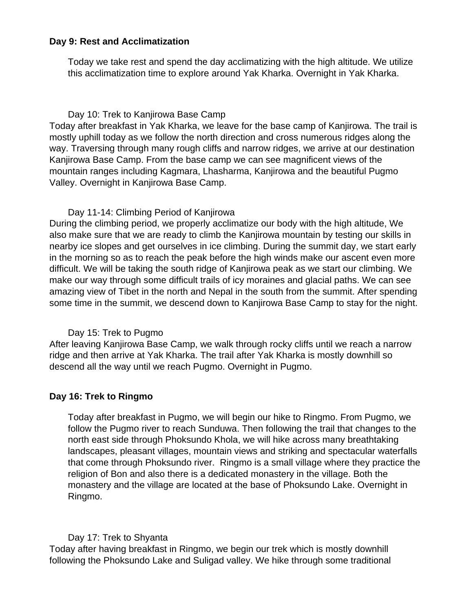#### **Day 9: Rest and Acclimatization**

Today we take rest and spend the day acclimatizing with the high altitude. We utilize this acclimatization time to explore around Yak Kharka. Overnight in Yak Kharka.

#### Day 10: Trek to Kanjirowa Base Camp

Today after breakfast in Yak Kharka, we leave for the base camp of Kanjirowa. The trail is mostly uphill today as we follow the north direction and cross numerous ridges along the way. Traversing through many rough cliffs and narrow ridges, we arrive at our destination Kanjirowa Base Camp. From the base camp we can see magnificent views of the mountain ranges including Kagmara, Lhasharma, Kanjirowa and the beautiful Pugmo Valley. Overnight in Kanjirowa Base Camp.

#### Day 11-14: Climbing Period of Kanjirowa

During the climbing period, we properly acclimatize our body with the high altitude, We also make sure that we are ready to climb the Kanjirowa mountain by testing our skills in nearby ice slopes and get ourselves in ice climbing. During the summit day, we start early in the morning so as to reach the peak before the high winds make our ascent even more difficult. We will be taking the south ridge of Kanjirowa peak as we start our climbing. We make our way through some difficult trails of icy moraines and glacial paths. We can see amazing view of Tibet in the north and Nepal in the south from the summit. After spending some time in the summit, we descend down to Kanjirowa Base Camp to stay for the night.

#### Day 15: Trek to Pugmo

After leaving Kanjirowa Base Camp, we walk through rocky cliffs until we reach a narrow ridge and then arrive at Yak Kharka. The trail after Yak Kharka is mostly downhill so descend all the way until we reach Pugmo. Overnight in Pugmo.

#### **Day 16: Trek to Ringmo**

Today after breakfast in Pugmo, we will begin our hike to Ringmo. From Pugmo, we follow the Pugmo river to reach Sunduwa. Then following the trail that changes to the north east side through Phoksundo Khola, we will hike across many breathtaking landscapes, pleasant villages, mountain views and striking and spectacular waterfalls that come through Phoksundo river. Ringmo is a small village where they practice the religion of Bon and also there is a dedicated monastery in the village. Both the monastery and the village are located at the base of Phoksundo Lake. Overnight in Ringmo.

#### Day 17: Trek to Shyanta

Today after having breakfast in Ringmo, we begin our trek which is mostly downhill following the Phoksundo Lake and Suligad valley. We hike through some traditional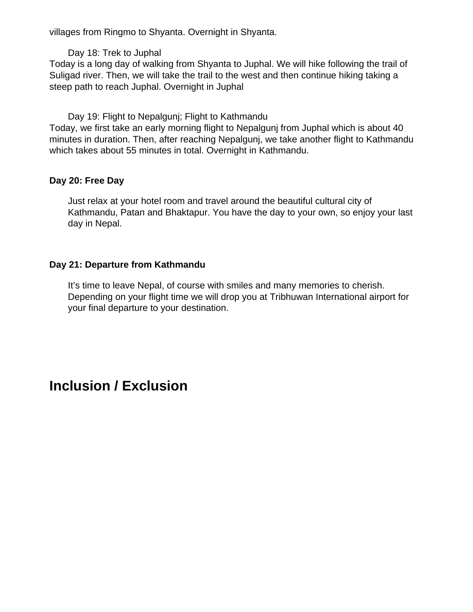villages from Ringmo to Shyanta. Overnight in Shyanta.

Day 18: Trek to Juphal

Today is a long day of walking from Shyanta to Juphal. We will hike following the trail of Suligad river. Then, we will take the trail to the west and then continue hiking taking a steep path to reach Juphal. Overnight in Juphal

Day 19: Flight to Nepalgunj; Flight to Kathmandu Today, we first take an early morning flight to Nepalgunj from Juphal which is about 40 minutes in duration. Then, after reaching Nepalgunj, we take another flight to Kathmandu which takes about 55 minutes in total. Overnight in Kathmandu.

#### **Day 20: Free Day**

Just relax at your hotel room and travel around the beautiful cultural city of Kathmandu, Patan and Bhaktapur. You have the day to your own, so enjoy your last day in Nepal.

#### **Day 21: Departure from Kathmandu**

It's time to leave Nepal, of course with smiles and many memories to cherish. Depending on your flight time we will drop you at Tribhuwan International airport for your final departure to your destination.

# **Inclusion / Exclusion**